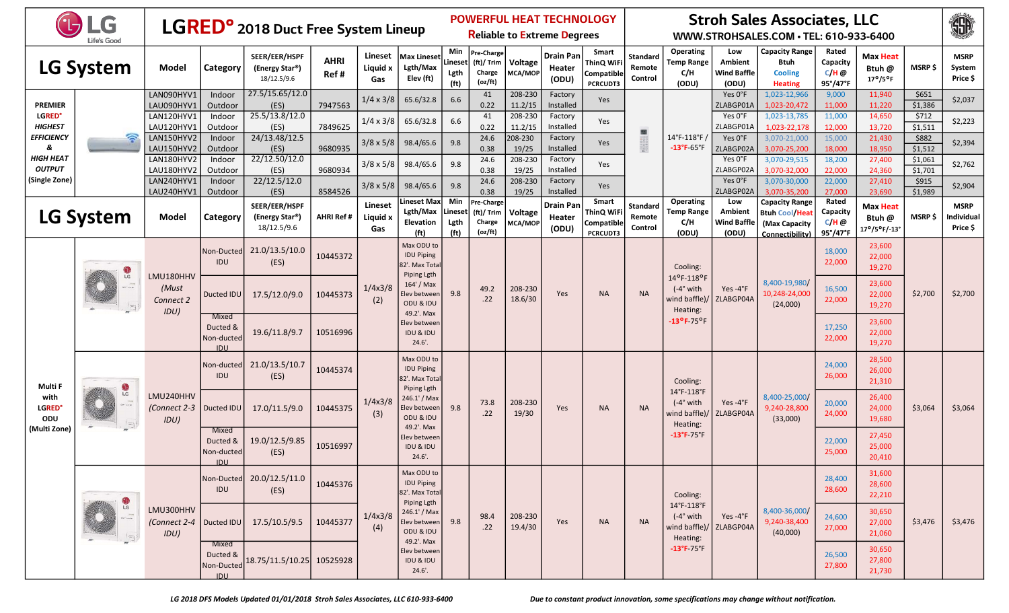|                                            | HLG<br>Life's Good      |                                   |                                               | LGRED <sup>o</sup> 2018 Duct Free System Lineup             |                     |                            |                                                                        |                                             |                                               |                    | <b>POWERFUL HEAT TECHNOLOGY</b><br><b>Reliable to Extreme Degrees</b> |                                                      |                                      |                                                                      |                                                      | <b>Stroh Sales Associates, LLC</b><br>WWW.STROHSALES.COM · TEL: 610-933-6400       |                                          |                                                       |                    | 珊                                     |
|--------------------------------------------|-------------------------|-----------------------------------|-----------------------------------------------|-------------------------------------------------------------|---------------------|----------------------------|------------------------------------------------------------------------|---------------------------------------------|-----------------------------------------------|--------------------|-----------------------------------------------------------------------|------------------------------------------------------|--------------------------------------|----------------------------------------------------------------------|------------------------------------------------------|------------------------------------------------------------------------------------|------------------------------------------|-------------------------------------------------------|--------------------|---------------------------------------|
|                                            | <b>LG System</b>        | Model                             | Category                                      | SEER/EER/HSPF<br>(Energy Star <sup>®</sup> )<br>18/12.5/9.6 | <b>AHRI</b><br>Ref# | Lineset<br>Liquid x<br>Gas | <b>Max Lineset</b><br>Lgth/Max<br>Elev (ft)                            | Min<br>Lineset<br>Lgth<br>(f <sub>t</sub> ) | Pre-Charge<br>(ft)/ Trim<br>Charge<br>(oz/ft) | Voltage<br>MCA/MOP | Drain Pan<br>Heater<br>(ODU)                                          | Smart<br>ThinQ WiFi<br>Compatible<br><b>PCRCUDT3</b> | Standard<br>Remote<br>Control        | Operating<br><b>Temp Range</b><br>C/H<br>(ODU)                       | Low<br><b>Ambient</b><br><b>Wind Baffle</b><br>(ODU) | <b>Capacity Range</b><br><b>Btuh</b><br><b>Cooling</b><br><b>Heating</b>           | Rated<br>Capacity<br>$C/H$ @<br>95°/47°F | <b>Max Heat</b><br>Btuh @<br>$17^{\circ}/5^{\circ}$ F | <b>MSRP \$</b>     | <b>MSRP</b><br>System<br>Price \$     |
| <b>PREMIER</b>                             |                         | LAN090HYV1<br>LAU090HYV1          | Indoor<br>Outdoor                             | 27.5/15.65/12.0<br>(ES)                                     | 7947563             | $1/4 \times 3/8$           | 65.6/32.8                                                              | 6.6                                         | 41<br>0.22                                    | 208-230<br>11.2/15 | Factory<br>Installed                                                  | Yes                                                  |                                      |                                                                      | Yes 0°F<br>ZLABGP01A                                 | 1,023-12,966<br>1,023-20,472                                                       | 9,000<br>11,000                          | 11,940<br>11,220                                      | \$651<br>\$1,386   | \$2,037                               |
| <b>LGRED<sup>°</sup></b><br><b>HIGHEST</b> |                         | LAN120HYV1<br>LAU120HYV1          | Indoor<br>Outdoor                             | 25.5/13.8/12.0<br>(ES)                                      | 7849625             | $1/4 \times 3/8$           | 65.6/32.8                                                              | 6.6                                         | 41<br>0.22                                    | 208-230<br>11.2/15 | Factory<br>Installed                                                  | Yes                                                  |                                      |                                                                      | Yes 0°F<br>ZLABGP01A                                 | 1,023-13,785<br>1,023-22,178                                                       | 11,000<br>12,000                         | 14,650<br>13,720                                      | \$712<br>\$1,511   | \$2,223                               |
| <b>EFFICIENCY</b><br>8                     | ೯                       | LAN150HYV2<br>LAU150HYV2          | Indoor<br>Outdoor                             | 24/13.48/12.5<br>(ES)                                       | 9680935             | $3/8 \times 5/8$           | 98.4/65.6                                                              | 9.8                                         | 24.6<br>0.38                                  | 208-230<br>19/25   | Factory<br>Installed                                                  | Yes                                                  | 圖<br>DOGGRAPS<br>DOGGGGGG            | $14^{\circ}$ F-118 $^{\circ}$ F /<br>$-13^{\circ}$ F-65 $^{\circ}$ F | Yes 0°F<br>ZLABGP02A                                 | 3,070-21,000<br>3,070-25,200                                                       | 15,000<br>18,000                         | 21,430<br>18,950                                      | \$882<br>\$1,512   | \$2,394                               |
| <b>HIGH HEAT</b><br><b>OUTPUT</b>          |                         | LAN180HYV2<br>LAU180HYV2          | Indoor<br>Outdoor                             | 22/12.50/12.0<br>(ES)                                       | 9680934             | $3/8 \times 5/8$           | 98.4/65.6                                                              | 9.8                                         | 24.6<br>0.38                                  | 208-230<br>19/25   | Factory<br>Installed                                                  | Yes                                                  |                                      |                                                                      | Yes 0°F<br>ZLABGP02A                                 | 3,070-29,515<br>3,070-32,000                                                       | 18,200<br>22,000                         | 27,400<br>24,360                                      | \$1,061<br>\$1,701 | \$2,762                               |
| (Single Zone)                              |                         | LAN240HYV1<br>LAU240HYV1          | Indoor<br>Outdoor                             | 22/12.5/12.0<br>(ES)                                        | 8584526             | $3/8 \times 5/8$           | 98.4/65.6                                                              | 9.8                                         | 24.6<br>0.38                                  | 208-230<br>19/25   | Factory<br>Yes<br>Installed                                           |                                                      |                                      | Yes 0°F<br>3,070-30,000<br>ZLABGP02A<br>3,070-35,200                 | 22,000<br>27.000                                     | 27,410<br>23,690                                                                   | \$915<br>\$1,989                         | \$2,904                                               |                    |                                       |
|                                            | <b>LG System</b>        | Model                             | Category                                      | SEER/EER/HSPF<br>(Energy Star®)<br>18/12.5/9.6              | <b>AHRI Ref #</b>   | Lineset<br>Liquid x<br>Gas | ineset Max.<br>Lgth/Max<br><b>Elevation</b><br>(ft)                    | Min<br>Lineset<br>Lgth<br>(f <sup>t</sup> ) | Pre-Charge<br>(ft)/ Trim<br>Charge<br>(oz/ft) | Voltage<br>MCA/MOP | <b>Drain Pan</b><br>Heater<br>(ODU)                                   | Smart<br>ThinQ WiFi<br>Compatible<br><b>PCRCUDT3</b> | <b>Standard</b><br>Remote<br>Control | Operating<br><b>Temp Range</b><br>C/H<br>(ODU)                       | Low<br>Ambient<br><b>Wind Baffle</b><br>(ODU)        | <b>Capacity Range</b><br><b>Btuh Cool/Heat</b><br>(Max Capacity<br>Connectibility) | Rated<br>Capacity<br>$C/H$ @<br>95°/47°F | <b>Max Heat</b><br>Btuh @<br>17°/5°F/-13°             | <b>MSRP \$</b>     | <b>MSRP</b><br>Individual<br>Price \$ |
|                                            | LG                      | LMU180HHV                         | Non-Ducted<br>IDU                             | 21.0/13.5/10.0<br>(ES)                                      | 10445372            |                            | Max ODU to<br><b>IDU Piping</b><br>82'. Max Tota<br><b>Piping Lgth</b> |                                             |                                               |                    |                                                                       |                                                      |                                      | Cooling:                                                             |                                                      |                                                                                    | 18,000<br>22,000                         | 23,600<br>22,000<br>19,270                            |                    |                                       |
|                                            |                         | (Must<br>Connect 2<br>IDU)        | Ducted IDU                                    | 17.5/12.0/9.0                                               | 10445373            | 1/4x3/8<br>(2)             | 164' / Max<br>Elev between<br>ODU & IDU<br>49.2'. Max                  | 9.8                                         | 49.2<br>.22                                   | 208-230<br>18.6/30 | Yes                                                                   | <b>NA</b>                                            | <b>NA</b>                            | 14°F-118°F<br>$(-4°$ with<br>wind baffle)/<br>Heating:               | Yes $-4$ °F<br>ZLABGP04A                             | 8,400-19,980/<br>10,248-24,000<br>(24,000)                                         | 16,500<br>22,000                         | 23,600<br>22,000<br>19,270                            | \$2,700            | \$2,700                               |
|                                            |                         |                                   | Mixed<br>Ducted &<br>Non-ducted<br><b>IDU</b> | 19.6/11.8/9.7                                               | 10516996            |                            | lev betweer<br><b>IDU &amp; IDU</b><br>$24.6'$ .                       |                                             |                                               |                    |                                                                       |                                                      |                                      | -13°F 75°F                                                           |                                                      |                                                                                    | 17,250<br>22,000                         | 23,600<br>22,000<br>19,270                            |                    |                                       |
| Multi F                                    |                         |                                   | Non-ducted<br>IDU                             | 21.0/13.5/10.7<br>(ES)                                      | 10445374            |                            | Max ODU to<br><b>IDU Piping</b><br>82'. Max Tota<br><b>Piping Lgth</b> |                                             |                                               |                    |                                                                       |                                                      |                                      | Cooling:                                                             |                                                      |                                                                                    | 24,000<br>26,000                         | 28,500<br>26,000<br>21,310                            |                    |                                       |
| with<br><b>LGRED'</b><br>ODU               | $\mathsf{LG}$<br>$\Box$ | LMU240HHV<br>(Connect 2-3<br>IDU) | Ducted IDU                                    | 17.0/11.5/9.0                                               | 10445375            | 1/4x3/8<br>(3)             | 246.1' / Max<br>Elev between<br>ODU & IDU<br>49.2'. Max                | 9.8                                         | 73.8<br>.22                                   | 208-230<br>19/30   | Yes                                                                   | <b>NA</b>                                            | <b>NA</b>                            | 14°F-118°F<br>$(-4°$ with<br>wind baffle)/<br>Heating:               | Yes-4°F<br>ZLABGP04A                                 | 8,400-25,000/<br>9,240-28,800<br>(33,000)                                          | 20,000<br>24,000                         | 26,400<br>24,000<br>19,680                            | \$3,064            | \$3,064                               |
| (Multi Zone)                               |                         |                                   | Mixed<br>Ducted &<br>Non-ducted<br>IDU        | 19.0/12.5/9.85<br>(ES)                                      | 10516997            |                            | <b>Elev</b> betweer<br><b>IDU &amp; IDU</b><br>24.6'.                  |                                             |                                               |                    |                                                                       |                                                      |                                      | -13°F 75°F                                                           |                                                      |                                                                                    | 22,000<br>25,000                         | 27,450<br>25,000<br>20,410                            |                    |                                       |
|                                            |                         |                                   | Non-Ducted <br><b>IDU</b>                     | 20.0/12.5/11.0<br>(ES)                                      | 10445376            |                            | Max ODU to<br><b>IDU Piping</b><br>82'. Max Total<br>Piping Lgth       |                                             |                                               |                    |                                                                       |                                                      |                                      | Cooling:                                                             |                                                      |                                                                                    | 28,400<br>28,600                         | 31,600<br>28,600<br>22,210                            |                    |                                       |
|                                            | LG                      | LMU300HHV<br>(Connect 2-4<br>IDU  |                                               | Ducted IDU 17.5/10.5/9.5                                    | 10445377            | 1/4x3/8<br>(4)             | 246.1' / Max<br>Elev between<br>ODU & IDU<br>49.2'. Max                | 9.8                                         | 98.4<br>.22                                   | 208-230<br>19.4/30 | Yes                                                                   | <b>NA</b>                                            | <b>NA</b>                            | 14°F-118°F<br>$(-4°$ with<br>wind baffle)/ ZLABGP04A<br>Heating:     | Yes -4°F                                             | 8,400-36,000/<br>9,240-38,400<br>(40,000)                                          | 24,600<br>27,000                         | 30,650<br>27,000<br>21,060                            | \$3,476            | \$3,476                               |
|                                            |                         |                                   | Mixed<br>Ducted &<br>Non-Ducted<br><b>IDU</b> | 18.75/11.5/10.25 10525928                                   |                     |                            | Elev between<br>IDU & IDU<br>$24.6'$ .                                 |                                             |                                               |                    |                                                                       |                                                      |                                      | $-13^{\circ}$ F-75 $^{\circ}$ F                                      |                                                      |                                                                                    | 26,500<br>27,800                         | 30,650<br>27,800<br>21,730                            |                    |                                       |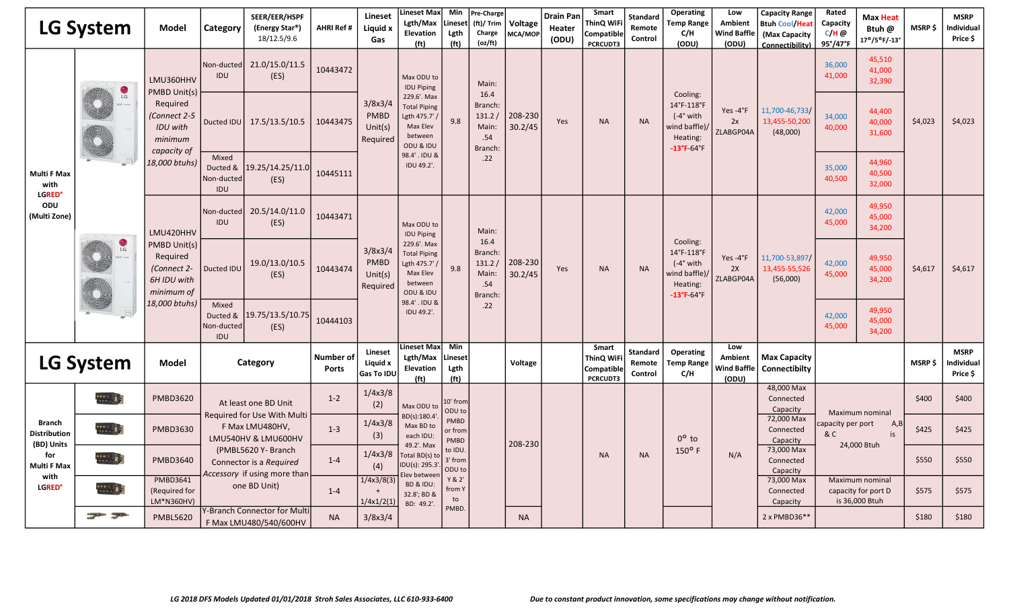|                                                        | LG System                          | Model                                                                | Category                               | SEER/EER/HSPF<br>(Energy Star <sup>®</sup> )<br>18/12.5/9.6                    | <b>AHRI Ref #</b>         | <b>Lineset</b><br>Liquid x<br>Gas                | ineset Max <br>Lgth/Max<br>Elevation<br>(f <sup>t</sup> )                             | Min<br>Lineset<br>Lgth<br>(f <sub>t</sub> ) | Pre-Charge<br>(ft)/ Trim<br>Charge<br>(oz/ft)        | Voltage<br>MCA/MOP | <b>Drain Pan</b><br>Heater<br>(ODU) | Smart<br>ThinQ WiF<br><b>Compatible</b><br>PCRCUDT3 | <b>Standard</b><br>Remote<br>Control | Operating<br><b>Temp Range</b><br>C/H<br>(ODU)                                                        | Low<br><b>Ambient</b><br><b>Wind Baffle</b><br>(ODU) | <b>Capacity Range</b><br><b>Btuh Cool/Hea</b><br>(Max Capacity<br>Connectibility) | Rated<br>Capacity<br>$C/H$ @<br>$95^{\circ}/47^{\circ}$ F | <b>Max Heat</b><br>Btuh @<br>17°/5°F/-13°                | <b>MSRP \$</b> | <b>MSRP</b><br>Individual<br>Price \$ |
|--------------------------------------------------------|------------------------------------|----------------------------------------------------------------------|----------------------------------------|--------------------------------------------------------------------------------|---------------------------|--------------------------------------------------|---------------------------------------------------------------------------------------|---------------------------------------------|------------------------------------------------------|--------------------|-------------------------------------|-----------------------------------------------------|--------------------------------------|-------------------------------------------------------------------------------------------------------|------------------------------------------------------|-----------------------------------------------------------------------------------|-----------------------------------------------------------|----------------------------------------------------------|----------------|---------------------------------------|
|                                                        |                                    | LMU360HHV<br>PMBD Unit(s)                                            | Non-ducted<br>IDU                      | 21.0/15.0/11.5<br>(ES)                                                         | 10443472                  |                                                  | Max ODU to<br><b>IDU Piping</b>                                                       |                                             | Main:                                                |                    |                                     |                                                     |                                      |                                                                                                       |                                                      |                                                                                   | 36,000<br>41,000                                          | 45,510<br>41,000<br>32,390                               |                |                                       |
|                                                        | $\mathbf{C}$                       | Required<br>Connect 2-5<br><b>IDU</b> with<br>minimum<br>capacity of | Ducted IDU                             | 17.5/13.5/10.5                                                                 | 10443475                  | 3/8x3/4<br><b>PMBD</b><br>Unit $(s)$<br>Required | 229.6'. Max<br><b>Total Piping</b><br>Lgth 475.7'<br>Max Elev<br>between<br>ODU & IDU | 9.8                                         | 16.4<br>Branch:<br>131.2/<br>Main:<br>.54<br>Branch: | 208-230<br>30.2/45 | Yes                                 | <b>NA</b>                                           | <b>NA</b>                            | Cooling:<br>14°F-118°F<br>$(-4°$ with<br>wind baffle)/<br>Heating:<br>$-13^{\circ}$ F-64 $^{\circ}$ F | Yes-4°F<br>2x<br>ZLABGP04A                           | 11,700-46,733/<br>13,455-50,200<br>(48,000)                                       | 34,000<br>40,000                                          | 44,400<br>40,000<br>31,600                               | \$4,023        | \$4,023                               |
| <b>Multi F Max</b><br>with<br><b>LGRED<sup>®</sup></b> |                                    | 18,000 btuhs)                                                        | Mixed<br>Ducted &<br>Non-ducted<br>IDU | 19.25/14.25/11.0<br>(ES)                                                       | 10445111                  |                                                  | 98.4' . IDU &<br>IDU 49.2'.                                                           |                                             | .22                                                  |                    |                                     |                                                     |                                      |                                                                                                       |                                                      |                                                                                   | 35,000<br>40,500                                          | 44,960<br>40,500<br>32,000                               |                |                                       |
| ODU<br>(Multi Zone)                                    |                                    | LMU420HHV                                                            | Non-ducted<br>IDU                      | 20.5/14.0/11.0<br>(ES)                                                         | 10443471                  |                                                  | Max ODU to<br><b>IDU Piping</b>                                                       |                                             | Main:                                                |                    |                                     |                                                     |                                      |                                                                                                       |                                                      |                                                                                   | 42,000<br>45,000                                          | 49,950<br>45,000<br>34,200                               |                |                                       |
|                                                        | $\frac{1}{2}$                      | PMBD Unit(s)<br>Required<br>(Connect 2-<br>6H IDU with<br>minimum of | Ducted IDU                             | 19.0/13.0/10.5<br>(ES)                                                         | 10443474                  | 3/8x3/4<br><b>PMBD</b><br>Unit $(s)$<br>Required | 229.6'. Max<br><b>Total Piping</b><br>Lgth 475.7'<br>Max Elev<br>between<br>ODU & IDU | 9.8                                         | 16.4<br>Branch:<br>131.2/<br>Main:<br>.54<br>Branch: | 208-230<br>30.2/45 | Yes                                 | <b>NA</b>                                           | <b>NA</b>                            | Cooling:<br>14°F-118°F<br>$(-4°$ with<br>wind baffle)<br>Heating:<br>$-13^{\circ}$ F-64 $^{\circ}$ F  | Yes-4°F<br>2X<br>ZLABGP04A                           | 11,700-53,897<br>13,455-55,526<br>(56,000)                                        | 42,000<br>45,000                                          | 49,950<br>45,000<br>34,200                               | \$4,617        | \$4,617                               |
|                                                        |                                    | 18,000 btuhs)                                                        | Mixed<br>Ducted &<br>Non-ducted<br>IDU | 19.75/13.5/10.75<br>(ES)                                                       | 10444103                  |                                                  | 98.4' . IDU 8<br>IDU 49.2'.                                                           |                                             | .22                                                  |                    |                                     |                                                     |                                      |                                                                                                       |                                                      |                                                                                   | 42,000<br>45,000                                          | 49,950<br>45,000<br>34,200                               |                |                                       |
|                                                        | <b>LG System</b>                   | <b>Model</b>                                                         |                                        | Category                                                                       | Number of<br><b>Ports</b> | Lineset<br>Liquid x<br>Gas To IDU                | <b>Lineset Max</b><br>Lgth/Max<br>Elevation<br>(f <sup>t</sup> )                      | Min<br>Lineset<br>Lgth<br>(f <sup>t</sup> ) |                                                      | Voltage            |                                     | Smart<br>ThinQ WiF<br>Compatible<br><b>PCRCUDT3</b> | <b>Standard</b><br>Remote<br>Control | Operating<br><b>Temp Range</b><br>C/H                                                                 | Low<br><b>Ambient</b><br><b>Wind Baffle</b><br>(ODU) | <b>Max Capacity</b><br>Connectibilty                                              |                                                           |                                                          | <b>MSRP\$</b>  | <b>MSRP</b><br>Individual<br>Price \$ |
|                                                        | $\frac{0.0000}{0.00000}$           | <b>PMBD3620</b>                                                      |                                        | At least one BD Unit                                                           | $1 - 2$                   | 1/4x3/8<br>(2)                                   | Max ODU to                                                                            | 10' from<br>ODU to                          |                                                      |                    |                                     |                                                     |                                      |                                                                                                       |                                                      | 48,000 Max<br>Connected<br>Capacity                                               |                                                           |                                                          | \$400          | \$400                                 |
| <b>Branch</b><br><b>Distribution</b><br>(BD) Units     | $\frac{0.0000}{0.0000}$            | <b>PMBD3630</b>                                                      |                                        | Required for Use With Multi<br>F Max LMU480HV,<br>LMU540HV & LMU600HV          | $1 - 3$                   | 1/4x3/8<br>(3)                                   | BD(s):180.4<br>Max BD to<br>each IDU:<br>49.2'. Max                                   | <b>PMBD</b><br>or from<br><b>PMBD</b>       |                                                      | 208-230            |                                     |                                                     |                                      | $0^{\circ}$ to                                                                                        |                                                      | 72,000 Max<br>Connected<br>Capacity                                               | apacity per port<br>&c                                    | Maximum nominal<br>A,B<br>is<br>24,000 Btuh              | \$425          | \$425                                 |
| for<br><b>Multi F Max</b><br>with                      |                                    | <b>PMBD3640</b>                                                      |                                        | (PMBL5620 Y- Branch<br>Connector is a Required<br>Accessory if using more than | $1 - 4$                   | 1/4x3/8<br>(4)                                   | Total BD(s) to<br>IDU(s): 295.3<br>lev betweer                                        | to IDU<br>3' from<br>ODU to                 |                                                      |                    |                                     | <b>NA</b>                                           | <b>NA</b>                            | $150^{\circ}$ F                                                                                       | N/A                                                  | 73,000 Max<br>Connected<br>Capacity                                               |                                                           |                                                          | \$550          | \$550                                 |
| <b>LGRED<sup>®</sup></b>                               | $\frac{880}{2000}$ = $\frac{1}{2}$ | <b>PMBD3641</b><br>(Required for<br>LM*N360HV)                       |                                        | one BD Unit)                                                                   | $1 - 4$                   | 1/4x3/8(3)<br>1/4x1/2(1)                         | BD & IDU:<br>32.8'; BD &<br>BD: 49.2'.                                                | Y & 2'<br>from \                            |                                                      |                    |                                     |                                                     |                                      |                                                                                                       |                                                      | 73,000 Max<br>Connected<br>Capacity                                               |                                                           | Maximum nominal<br>capacity for port D<br>is 36,000 Btuh | \$575          | \$575                                 |
|                                                        | $\mathcal{F}$                      | <b>PMBL5620</b>                                                      |                                        | <b>Y-Branch Connector for Mult</b><br>F Max LMU480/540/600HV                   | <b>NA</b>                 | 3/8x3/4                                          |                                                                                       | PMBD                                        |                                                      | <b>NA</b>          |                                     |                                                     |                                      |                                                                                                       |                                                      | 2 x PMBD36**                                                                      |                                                           |                                                          | \$180          | \$180                                 |